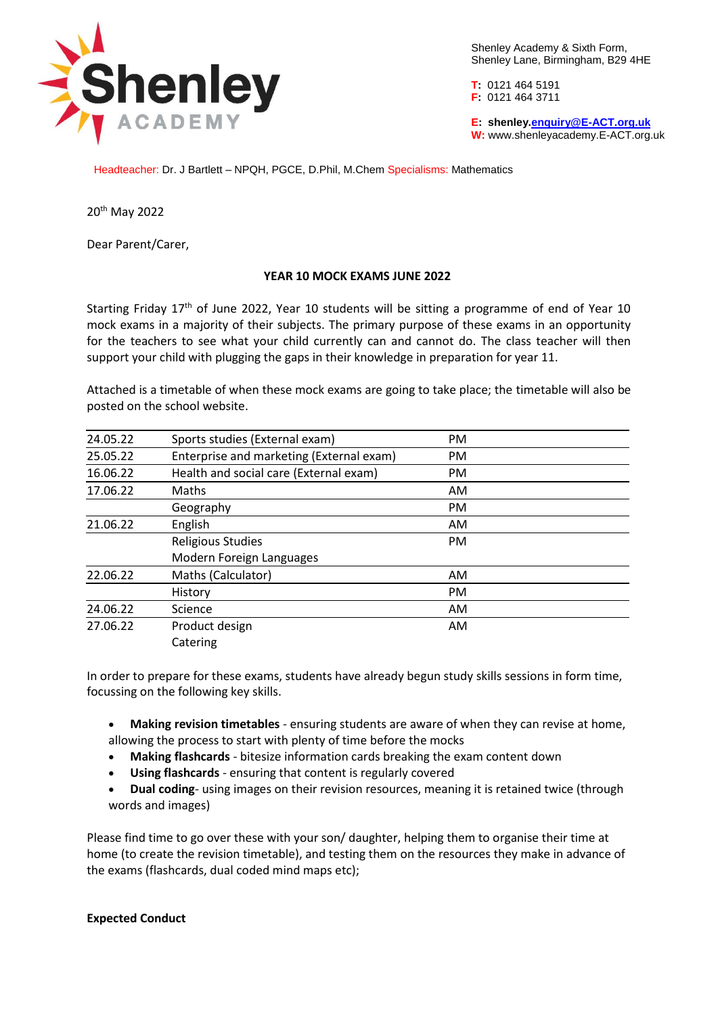

Shenley Academy & Sixth Form, Shenley Lane, Birmingham, B29 4HE

**T:** 0121 464 5191 **F:** 0121 464 3711

**E: shenley[.enquiry@E-ACT.org.uk](mailto:enquiry@E-ACT.org.uk) W:** www.shenleyacademy.E-ACT.org.uk

Headteacher: Dr. J Bartlett – NPQH, PGCE, D.Phil, M.Chem Specialisms: Mathematics

20th May 2022

Dear Parent/Carer,

## **YEAR 10 MOCK EXAMS JUNE 2022**

Starting Friday 17<sup>th</sup> of June 2022, Year 10 students will be sitting a programme of end of Year 10 mock exams in a majority of their subjects. The primary purpose of these exams in an opportunity for the teachers to see what your child currently can and cannot do. The class teacher will then support your child with plugging the gaps in their knowledge in preparation for year 11.

Attached is a timetable of when these mock exams are going to take place; the timetable will also be posted on the school website.

| 24.05.22 | Sports studies (External exam)           | PM  |  |
|----------|------------------------------------------|-----|--|
| 25.05.22 | Enterprise and marketing (External exam) | PM  |  |
| 16.06.22 | Health and social care (External exam)   | PM. |  |
| 17.06.22 | Maths                                    | AM  |  |
|          | Geography                                | PM  |  |
| 21.06.22 | English                                  | AM. |  |
|          | <b>Religious Studies</b>                 | PM  |  |
|          | Modern Foreign Languages                 |     |  |
| 22.06.22 | Maths (Calculator)                       | AM  |  |
|          | History                                  | PM  |  |
| 24.06.22 | Science                                  | AM  |  |
| 27.06.22 | Product design                           | AM  |  |
|          | Catering                                 |     |  |

In order to prepare for these exams, students have already begun study skills sessions in form time, focussing on the following key skills.

- **Making revision timetables**  ensuring students are aware of when they can revise at home, allowing the process to start with plenty of time before the mocks
- **Making flashcards**  bitesize information cards breaking the exam content down
- **Using flashcards**  ensuring that content is regularly covered
- **Dual coding** using images on their revision resources, meaning it is retained twice (through words and images)

Please find time to go over these with your son/ daughter, helping them to organise their time at home (to create the revision timetable), and testing them on the resources they make in advance of the exams (flashcards, dual coded mind maps etc);

## **Expected Conduct**